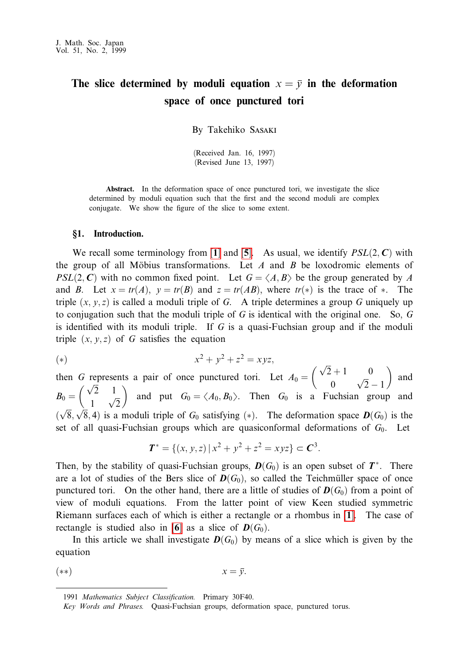# The slice determined by moduli equation  $x = \overline{y}$  in the deformation space of once punctured tori

By Takehiko SASAKI

(Received Jan. 16, 1997) (Revised June 13, 1997)

**Abstract.** In the deformation space of once punctured tori, we investigate the slice determined by moduli equation such that the first and the second moduli are complex conjugate. We show the figure of the slice to some extent.

## §1. Introduction.

We recall some terminology from [1] and [5]. As usual, we identify  $PSL(2, C)$  with the group of all Möbius transformations. Let  $A$  and  $B$  be loxodromic elements of  $PSL(2, C)$  with no common fixed point. Let  $G = \langle A, B \rangle$  be the group generated by A and B. Let  $x = tr(A)$ ,  $y = tr(B)$  and  $z = tr(AB)$ , where  $tr(*)$  is the trace of  $*$ . The triple  $(x, y, z)$  is called a moduli triple of G. A triple determines a group G uniquely up to conjugation such that the moduli triple of  $G$  is identical with the original one. So,  $G$ is identified with its moduli triple. If  $G$  is a quasi-Fuchsian group and if the moduli triple  $(x, y, z)$  of G satisfies the equation

(\*) 
$$
x^2 + y^2 + z^2 = xyz,
$$

then G represents a pair of once punctured tori. Let  $A_0 = \begin{pmatrix} \sqrt{2} + 1 & 0 \\ 0 & \sqrt{2} - 1 \end{pmatrix}$  and  $B_0 = \begin{pmatrix} \sqrt{2} & 1 \\ 1 & \sqrt{2} \end{pmatrix}$  and put  $G_0 = \langle A_0, B_0 \rangle$ . Then  $G_0$  is a Fuchsian group and  $(\sqrt{8}, \sqrt{8}, 4)$  is a moduli triple of  $G_0$  satisfying (\*). The deformation space  $\mathbf{D}(G_0)$  is the set of all quasi-Fuchsian groups which are quasiconformal deformations of  $G_0$ . Let

$$
T^* = \{(x, y, z) | x^2 + y^2 + z^2 = xyz \} \subset C^3.
$$

Then, by the stability of quasi-Fuchsian groups,  $\mathbf{D}(G_0)$  is an open subset of  $T^*$ . There are a lot of studies of the Bers slice of  $\mathbf{D}(G_0)$ , so called the Teichmüller space of once punctured tori. On the other hand, there are a little of studies of  $\mathbf{D}(G_0)$  from a point of view of moduli equations. From the latter point of view Keen studied symmetric Riemann surfaces each of which is either a rectangle or a rhombus in [1]. The case of rectangle is studied also in [6] as a slice of  $D(G_0)$ .

In this article we shall investigate  $D(G_0)$  by means of a slice which is given by the equation

$$
(*)\t\t x = \overline{y}
$$

<sup>1991</sup> Mathematics Subject Classification. Primary 30F40.

Key Words and Phrases. Quasi-Fuchsian groups, deformation space, punctured torus.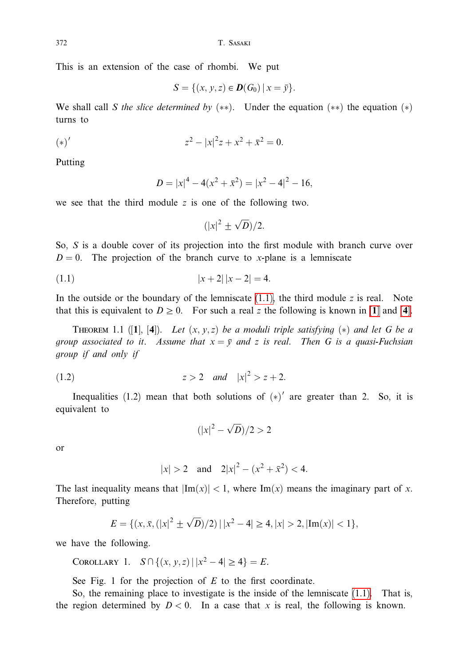This is an extension of the case of rhombi. We put

$$
S = \{(x, y, z) \in \mathbf{D}(G_0) \, | \, x = \bar{y}\}.
$$

We shall call S the slice determined by  $(**)$ . Under the equation  $(**)$  the equation  $(*)$ turns to

(\*)'  

$$
(*)' \qquad \qquad z^2 - |x|^2 z + x^2 + \bar{x}^2 = 0.
$$

Putting

$$
D = |x|^4 - 4(x^2 + \bar{x}^2) = |x^2 - 4|^2 - 16
$$

we see that the third module  $z$  is one of the following two.

$$
(|x|^2 \pm \sqrt{D})/2.
$$

So,  $S$  is a double cover of its projection into the first module with branch curve over  $D = 0$ . The projection of the branch curve to x-plane is a lemniscate

$$
(1.1) \t\t\t |x+2| |x-2| = 4.
$$

In the outside or the boundary of the lemniscate  $(1.1)$ , the third module z is real. Note that this is equivalent to  $D \ge 0$ . For such a real z the following is known in [1] and [4].

**THEOREM** 1.1 ([1], [4]). Let  $(x, y, z)$  be a moduli triple satisfying  $(*)$  and let G be a group associated to it. Assume that  $x = \overline{y}$  and z is real. Then G is a quasi-Fuchsian group if and only if

$$
(1.2) \t\t\t z > 2 \quad and \quad |x|^2 > z + 2.
$$

Inequalities (1.2) mean that both solutions of  $(*)'$  are greater than 2. So, it is equivalent to

$$
(|x|^2 - \sqrt{D})/2 > 2
$$

 $\alpha$ r

$$
|x| > 2
$$
 and  $2|x|^2 - (x^2 + \bar{x}^2) < 4$ .

The last inequality means that  $|\text{Im}(x)| < 1$ , where  $\text{Im}(x)$  means the imaginary part of x. Therefore, putting

$$
E = \{ (x, \bar{x}, (|x|^2 \pm \sqrt{D})/2) | |x^2 - 4| \ge 4, |x| > 2, |\text{Im}(x)| < 1 \},\
$$

we have the following.

COROLLARY 1. 
$$
S \cap \{(x, y, z) | |x^2 - 4| \ge 4\} = E
$$
.

See Fig. 1 for the projection of  $E$  to the first coordinate.

So, the remaining place to investigate is the inside of the lemniscate  $(1.1)$ . That is, the region determined by  $D < 0$ . In a case that x is real, the following is known.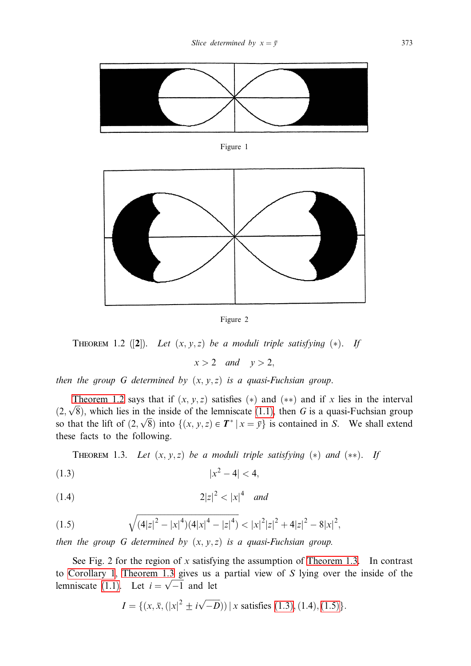

Figure 1



Figure 2

THEOREM 1.2 ([2]). Let  $(x, y, z)$  be a moduli triple satisfying  $(*)$ . If

 $x > 2$  and  $y > 2$ ,

then the group G determined by  $(x, y, z)$  is a quasi-Fuchsian group.

Theorem 1.2 says that if  $(x, y, z)$  satisfies  $(*)$  and  $(**)$  and if x lies in the interval  $(2,\sqrt{8})$ , which lies in the inside of the lemniscate (1.1), then G is a quasi-Fuchsian group so that the lift of  $(2, \sqrt{8})$  into  $\{(x, y, z) \in T^* | x = \overline{y}\}\$ is contained in S. We shall extend these facts to the following.

**THEOREM** 1.3. Let  $(x, y, z)$  be a moduli triple satisfying  $(*)$  and  $(**)$ . If

$$
(1.3) \t\t |x^2 - 4| < 4,
$$

$$
(1.4) \t\t\t 2|z|^2 < |x|^4 \t and
$$

(1.5) 
$$
\sqrt{(4|z|^2-|x|^4)(4|x|^4-|z|^4)} < |x|^2|z|^2+4|z|^2-8|x|^2,
$$

then the group G determined by  $(x, y, z)$  is a quasi-Fuchsian group.

See Fig. 2 for the region of x satisfying the assumption of Theorem 1.3. In contrast to Corollary 1, Theorem 1.3 gives us a partial view of S lying over the inside of the lemniscate (1.1). Let  $i = \sqrt{-1}$  and let

$$
I = \{ (x, \bar{x}, (|x|^2 \pm i\sqrt{-D})) \mid x \text{ satisfies (1.3), (1.4), (1.5)} \}.
$$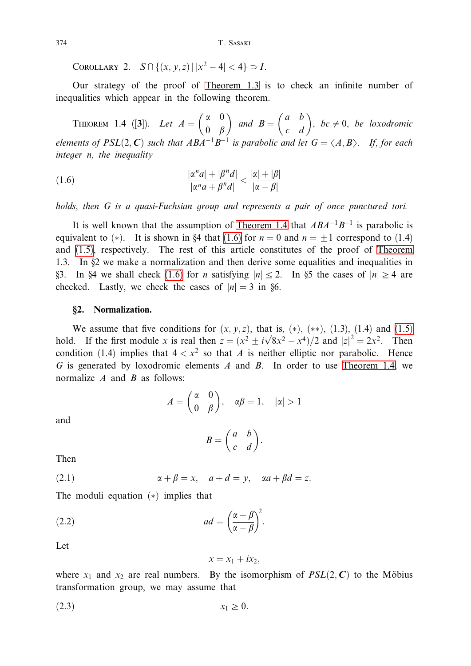T. SASAKI

COROLLARY 2.  $S \cap \{(x, y, z) | |x^2 - 4| < 4\} \supset I$ .

Our strategy of the proof of Theorem 1.3 is to check an infinite number of inequalities which appear in the following theorem.

**THEOREM** 1.4 ([3]). Let  $A = \begin{pmatrix} \alpha & 0 \\ 0 & \beta \end{pmatrix}$  and  $B = \begin{pmatrix} a & b \\ c & d \end{pmatrix}$ , be  $\neq 0$ , be loxodromic elements of  $PSL(2, \mathbb{C})$  such that  $ABA^{-1}B^{-1}$  is parabolic and let  $G = \langle A, B \rangle$ . If, for each integer n, the inequality

(1.6) 
$$
\frac{|\alpha^n a| + |\beta^n d|}{|\alpha^n a + \beta^n d|} < \frac{|\alpha| + |\beta|}{|\alpha - \beta|}
$$

holds, then G is a quasi-Fuchsian group and represents a pair of once punctured tori.

It is well known that the assumption of Theorem 1.4 that  $ABA^{-1}B^{-1}$  is parabolic is equivalent to (\*). It is shown in §4 that (1.6) for  $n = 0$  and  $n = \pm 1$  correspond to (1.4) and (1.5), respectively. The rest of this article constitutes of the proof of Theorem 1.3. In §2 we make a normalization and then derive some equalities and inequalities in §3. In §4 we shall check (1.6) for *n* satisfying  $|n| \le 2$ . In §5 the cases of  $|n| \ge 4$  are checked. Lastly, we check the cases of  $|n| = 3$  in §6.

## §2. Normalization.

We assume that five conditions for  $(x, y, z)$ , that is,  $(*)$ ,  $(**)$ ,  $(**)$ ,  $(1.3)$ ,  $(1.4)$  and  $(1.5)$ hold. If the first module x is real then  $z = (x^2 \pm i\sqrt{8x^2 - x^4})/2$  and  $|z|^2 = 2x^2$ . Then condition (1.4) implies that  $4 < x^2$  so that A is neither elliptic nor parabolic. Hence G is generated by loxodromic elements A and B. In order to use Theorem 1.4, we normalize  $A$  and  $B$  as follows:

$$
A = \begin{pmatrix} \alpha & 0 \\ 0 & \beta \end{pmatrix}, \quad \alpha\beta = 1, \quad |\alpha| > 1
$$

and

$$
B = \begin{pmatrix} a & b \\ c & d \end{pmatrix}.
$$

Then

(2.1) 
$$
\alpha + \beta = x, \quad a + d = y, \quad \alpha a + \beta d = z.
$$

The moduli equation  $(*)$  implies that

(2.2) 
$$
ad = \left(\frac{\alpha + \beta}{\alpha - \beta}\right)^2.
$$

Let

$$
x = x_1 + ix_2,
$$

where  $x_1$  and  $x_2$  are real numbers. By the isomorphism of  $PSL(2, C)$  to the Möbius transformation group, we may assume that

 $x_1 \geq 0$ .  $(2.3)$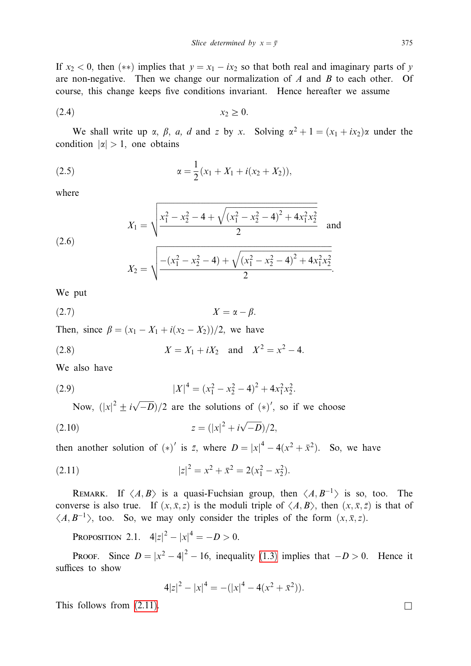If  $x_2 < 0$ , then  $(**)$  implies that  $y = x_1 - ix_2$  so that both real and imaginary parts of y are non-negative. Then we change our normalization of  $A$  and  $B$  to each other. Of course, this change keeps five conditions invariant. Hence hereafter we assume

$$
(2.4) \t\t x_2 \ge 0
$$

We shall write up  $\alpha$ ,  $\beta$ ,  $a$ ,  $d$  and  $z$  by  $x$ . Solving  $\alpha^2 + 1 = (x_1 + ix_2)\alpha$  under the condition  $|\alpha| > 1$ , one obtains

(2.5) 
$$
\alpha = \frac{1}{2}(x_1 + X_1 + i(x_2 + X_2)),
$$

where

(2.6) 
$$
X_1 = \sqrt{\frac{x_1^2 - x_2^2 - 4 + \sqrt{(x_1^2 - x_2^2 - 4)^2 + 4x_1^2 x_2^2}}{2}} \text{ and}
$$

$$
X_2 = \sqrt{\frac{-(x_1^2 - x_2^2 - 4) + \sqrt{(x_1^2 - x_2^2 - 4)^2 + 4x_1^2 x_2^2}}{2}}
$$

We put

$$
(2.7) \t\t X = \alpha - \beta.
$$

Then, since  $\beta = (x_1 - X_1 + i(x_2 - X_2))/2$ , we have

(2.8) 
$$
X = X_1 + iX_2
$$
 and  $X^2 = x^2 - 4$ .

We also have

(2.9) 
$$
|X|^4 = (x_1^2 - x_2^2 - 4)^2 + 4x_1^2x_2^2.
$$

Now,  $(|x|^2 \pm i\sqrt{-D})/2$  are the solutions of  $(*)'$ , so if we choose

$$
(2.10) \t\t\t z = (|x|^2 + i\sqrt{-D})/2
$$

then another solution of (\*)' is  $\overline{z}$ , where  $D = |x|^4 - 4(x^2 + \overline{x}^2)$ . So, we have

(2.11) 
$$
|z|^2 = x^2 + \bar{x}^2 = 2(x_1^2 - x_2^2).
$$

REMARK. If  $\langle A, B \rangle$  is a quasi-Fuchsian group, then  $\langle A, B^{-1} \rangle$  is so, too. The converse is also true. If  $(x, \bar{x}, z)$  is the moduli triple of  $\langle A, B \rangle$ , then  $(x, \bar{x}, \bar{z})$  is that of  $\langle A, B^{-1} \rangle$ , too. So, we may only consider the triples of the form  $(x, \bar{x}, z)$ .

PROPOSITION 2.1.  $4|z|^2 - |x|^4 = -D > 0$ .

PROOF. Since  $D = |x^2 - 4|^2 - 16$ , inequality (1.3) implies that  $-D > 0$ . Hence it suffices to show

$$
4|z|^2 - |x|^4 = -(|x|^4 - 4(x^2 + \bar{x}^2)).
$$

This follows from  $(2.11)$ .

 $\Box$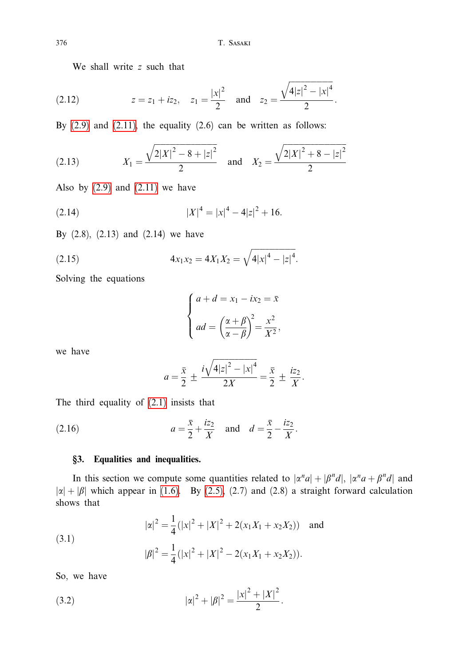We shall write z such that

(2.12) 
$$
z = z_1 + iz_2
$$
,  $z_1 = \frac{|x|^2}{2}$  and  $z_2 = \frac{\sqrt{4|z|^2 - |x|^4}}{2}$ .

By  $(2.9)$  and  $(2.11)$ , the equality  $(2.6)$  can be written as follows:

(2.13) 
$$
X_1 = \frac{\sqrt{2|X|^2 - 8 + |z|^2}}{2} \text{ and } X_2 = \frac{\sqrt{2|X|^2 + 8 - |z|^2}}{2}
$$

Also by  $(2.9)$  and  $(2.11)$  we have

(2.14) 
$$
|X|^4 = |x|^4 - 4|z|^2 + 16.
$$

By  $(2.8)$ ,  $(2.13)$  and  $(2.14)$  we have

(2.15) 
$$
4x_1x_2 = 4X_1X_2 = \sqrt{4|x|^4 - |z|^4}.
$$

Solving the equations

$$
\begin{cases}\n a + d = x_1 - ix_2 = \bar{x} \\
ad = \left(\frac{\alpha + \beta}{\alpha - \beta}\right)^2 = \frac{x^2}{X^2},\n\end{cases}
$$

we have

$$
a = \frac{\bar{x}}{2} \pm \frac{i\sqrt{4|z|^2 - |x|^4}}{2X} = \frac{\bar{x}}{2} \pm \frac{iz_2}{X}.
$$

The third equality of  $(2.1)$  insists that

(2.16) 
$$
a = \frac{\bar{x}}{2} + \frac{iz_2}{X} \text{ and } d = \frac{\bar{x}}{2} - \frac{iz_2}{X}.
$$

# §3. Equalities and inequalities.

In this section we compute some quantities related to  $|\alpha^n a| + |\beta^n d|$ ,  $|\alpha^n a + \beta^n d|$  and  $|\alpha| + |\beta|$  which appear in (1.6). By (2.5), (2.7) and (2.8) a straight forward calculation shows that

(3.1)  
\n
$$
|\alpha|^2 = \frac{1}{4} (|x|^2 + |X|^2 + 2(x_1X_1 + x_2X_2)) \text{ and }
$$
\n
$$
|\beta|^2 = \frac{1}{4} (|x|^2 + |X|^2 - 2(x_1X_1 + x_2X_2)).
$$

So, we have

(3.2) 
$$
|\alpha|^2 + |\beta|^2 = \frac{|x|^2 + |X|^2}{2}.
$$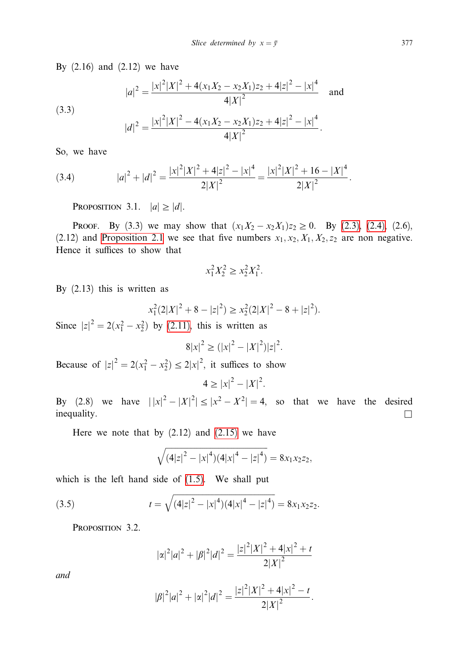By  $(2.16)$  and  $(2.12)$  we have

(3.3)  
\n
$$
|a|^2 = \frac{|x|^2 |X|^2 + 4(x_1 X_2 - x_2 X_1) z_2 + 4|z|^2 - |x|^4}{4|X|^2} \text{ and}
$$
\n
$$
|d|^2 = \frac{|x|^2 |X|^2 - 4(x_1 X_2 - x_2 X_1) z_2 + 4|z|^2 - |x|^4}{4|X|^2}.
$$

So, we have

(3.4) 
$$
|a|^2 + |d|^2 = \frac{|x|^2 |X|^2 + 4|z|^2 - |x|^4}{2|X|^2} = \frac{|x|^2 |X|^2 + 16 - |X|^4}{2|X|^2}
$$

PROPOSITION 3.1.  $|a| \ge |d|$ .

**PROOF.** By (3.3) we may show that  $(x_1X_2 - x_2X_1)z_2 \ge 0$ . By (2.3), (2.4), (2.6), (2.12) and Proposition 2.1 we see that five numbers  $x_1, x_2, X_1, X_2, z_2$  are non negative. Hence it suffices to show that

$$
x_1^2 X_2^2 \ge x_2^2 X_1^2
$$

By  $(2.13)$  this is written as

$$
x_1^2(2|X|^2 + 8 - |z|^2) \ge x_2^2(2|X|^2 - 8 + |z|^2).
$$

Since  $|z|^2 = 2(x_1^2 - x_2^2)$  by (2.11), this is written as

$$
8|x|^2 \ge (|x|^2 - |X|^2)|z|^2.
$$

Because of  $|z|^2 = 2(x_1^2 - x_2^2) \le 2|x|^2$ , it suffices to show

$$
4 \geq |x|^2 - |X|^2.
$$

By (2.8) we have  $||x|^2 - |X|^2| \le |x^2 - X^2| = 4$ , so that we have the desired inequality.  $\Box$ 

Here we note that by  $(2.12)$  and  $(2.15)$  we have

$$
\sqrt{(4|z|^2-|x|^4)(4|x|^4-|z|^4)}=8x_1x_2z_2,
$$

which is the left hand side of  $(1.5)$ . We shall put

(3.5) 
$$
t = \sqrt{(4|z|^2 - |x|^4)(4|x|^4 - |z|^4)} = 8x_1x_2z_2.
$$

PROPOSITION 3.2.

$$
|\alpha|^2|a|^2+|\beta|^2|d|^2=\frac{|z|^2|X|^2+4|x|^2+t}{2|X|^2}
$$

and

$$
|\beta|^2|a|^2 + |\alpha|^2|d|^2 = \frac{|z|^2|X|^2 + 4|x|^2 - t}{2|X|^2}
$$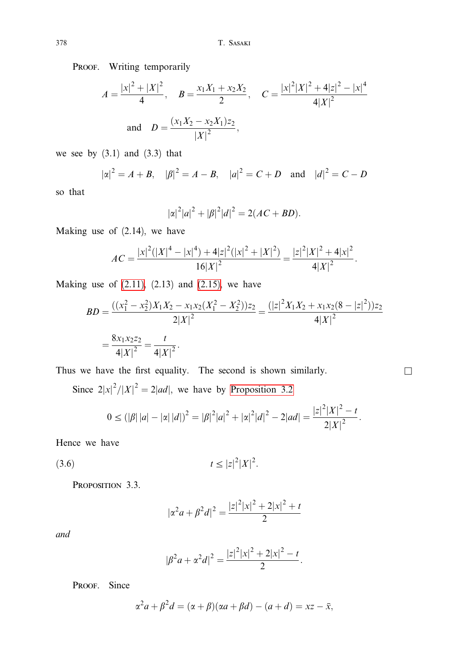PROOF. Writing temporarily

$$
A = \frac{|x|^2 + |X|^2}{4}, \quad B = \frac{x_1 X_1 + x_2 X_2}{2}, \quad C = \frac{|x|^2 |X|^2 + 4|z|^2 - |x|^4}{4|X|^2}
$$
  
and 
$$
D = \frac{(x_1 X_2 - x_2 X_1) z_2}{|X|^2},
$$

we see by  $(3.1)$  and  $(3.3)$  that

$$
|\alpha|^2 = A + B
$$
,  $|\beta|^2 = A - B$ ,  $|a|^2 = C + D$  and  $|d|^2 = C - D$ 

so that

$$
|\alpha|^2|a|^2+|\beta|^2|d|^2=2(AC+BD).
$$

Making use of  $(2.14)$ , we have

$$
AC = \frac{|x|^2(|X|^4 - |x|^4) + 4|z|^2(|x|^2 + |X|^2)}{16|X|^2} = \frac{|z|^2|X|^2 + 4|x|^2}{4|X|^2}.
$$

Making use of  $(2.11)$ ,  $(2.13)$  and  $(2.15)$ , we have

$$
BD = \frac{((x_1^2 - x_2^2)X_1X_2 - x_1x_2(X_1^2 - X_2^2))z_2}{2|X|^2} = \frac{(|z|^2X_1X_2 + x_1x_2(8 - |z|^2))z_2}{4|X|^2}
$$
  
=  $\frac{8x_1x_2z_2}{4|X|^2} = \frac{t}{4|X|^2}.$ 

 $\overline{\phantom{a}}$ 

Thus we have the first equality. The second is shown similarly.

Since  $2|x|^2/|X|^2 = 2|ad|$ , we have by Proposition 3.2

$$
0 \leq (|\beta| |a| - |\alpha| |d|)^2 = |\beta|^2 |a|^2 + |\alpha|^2 |d|^2 - 2|ad| = \frac{|z|^2 |X|^2 - t}{2|X|^2}.
$$

Hence we have

 $t \leq |z|^2 |X|^2$ .  $(3.6)$ 

PROPOSITION 3.3.

$$
|\alpha^2 a + \beta^2 d|^2 = \frac{|z|^2 |x|^2 + 2|x|^2 + t}{2}
$$

and

$$
|\beta^2 a + \alpha^2 d|^2 = \frac{|z|^2 |x|^2 + 2|x|^2 - t}{2}.
$$

PROOF. Since

$$
\alpha^2 a + \beta^2 d = (\alpha + \beta)(\alpha a + \beta d) - (a + d) = xz - \bar{x},
$$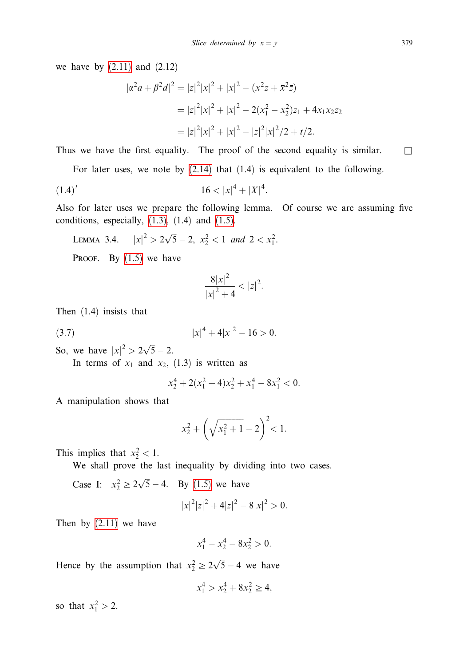we have by  $(2.11)$  and  $(2.12)$ 

$$
|\alpha^2 a + \beta^2 d|^2 = |z|^2 |x|^2 + |x|^2 - (x^2 z + \bar{x}^2 \bar{z})
$$
  
=  $|z|^2 |x|^2 + |x|^2 - 2(x_1^2 - x_2^2) z_1 + 4x_1 x_2 z_2$   
=  $|z|^2 |x|^2 + |x|^2 - |z|^2 |x|^2 / 2 + t / 2$ .

Thus we have the first equality. The proof of the second equality is similar.  $\Box$ 

For later uses, we note by  $(2.14)$  that  $(1.4)$  is equivalent to the following.

$$
(1.4)'
$$
  $16 < |x|^4 + |X|^4$ .

Also for later uses we prepare the following lemma. Of course we are assuming five conditions, especially,  $(1.3)$ ,  $(1.4)$  and  $(1.5)$ .

LEMMA 3.4.  $|x|^2 > 2\sqrt{5} - 2$ ,  $x_2^2 < 1$  and  $2 < x_1^2$ .

PROOF. By  $(1.5)$  we have

$$
\frac{8|x|^2}{|x|^2+4} < |z|^2
$$

Then  $(1.4)$  insists that

$$
(3.7) \t\t |x|^4 + 4|x|^2 - 16 > 0.
$$

So, we have  $|x|^2 > 2\sqrt{5} - 2$ .

In terms of  $x_1$  and  $x_2$ , (1.3) is written as

$$
x_2^4 + 2(x_1^2 + 4)x_2^2 + x_1^4 - 8x_1^2 < 0.
$$

A manipulation shows that

$$
x_2^2 + \left(\sqrt{x_1^2 + 1} - 2\right)^2 < 1.
$$

This implies that  $x_2^2 < 1$ .

We shall prove the last inequality by dividing into two cases.

Case I:  $x_2^2 \ge 2\sqrt{5} - 4$ . By (1.5) we have

$$
|x|^2|z|^2 + 4|z|^2 - 8|x|^2 > 0.
$$

Then by  $(2.11)$  we have

$$
x_1^4 - x_2^4 - 8x_2^2 > 0.
$$

Hence by the assumption that  $x_2^2 \ge 2\sqrt{5} - 4$  we have

$$
x_1^4 > x_2^4 + 8x_2^2 \ge 4,
$$

so that  $x_1^2 > 2$ .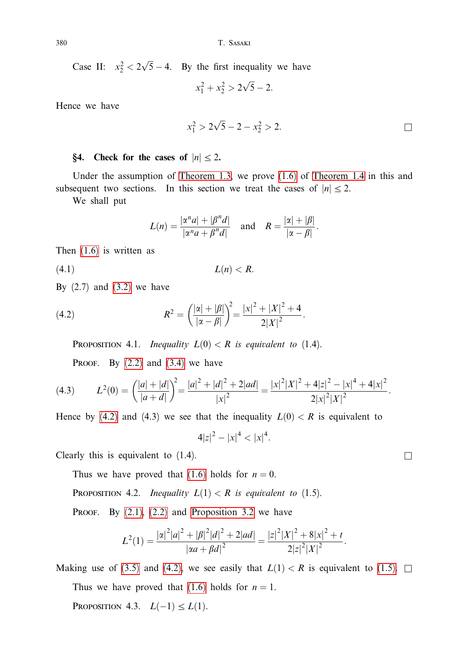Case II:  $x_2^2 < 2\sqrt{5} - 4$ . By the first inequality we have

$$
x_1^2 + x_2^2 > 2\sqrt{5} - 2.
$$

Hence we have

$$
x_1^2 > 2\sqrt{5} - 2 - x_2^2 > 2.
$$

## §4. Check for the cases of  $|n| \le 2$ .

Under the assumption of Theorem 1.3, we prove  $(1.6)$  of Theorem 1.4 in this and subsequent two sections. In this section we treat the cases of  $|n| \le 2$ .

We shall put

$$
L(n) = \frac{|\alpha^n a| + |\beta^n d|}{|\alpha^n a + \beta^n d|} \quad \text{and} \quad R = \frac{|\alpha| + |\beta|}{|\alpha - \beta|}
$$

Then  $(1.6)$  is written as

 $L(n) < R$ .  $(4.1)$ 

By  $(2.7)$  and  $(3.2)$  we have

(4.2) 
$$
R^{2} = \left(\frac{|\alpha| + |\beta|}{|\alpha - \beta|}\right)^{2} = \frac{|x|^{2} + |X|^{2} + 4}{2|X|^{2}}.
$$

**PROPOSITION** 4.1. *Inequality*  $L(0) < R$  *is equivalent to* (1.4).

PROOF. By  $(2.2)$  and  $(3.4)$  we have

$$
(4.3) \qquad L^2(0) = \left(\frac{|a|+|d|}{|a+d|}\right)^2 = \frac{|a|^2+|d|^2+2|ad|}{|x|^2} = \frac{|x|^2|X|^2+4|z|^2-|x|^4+4|x|^2}{2|x|^2|X|^2}.
$$

Hence by (4.2) and (4.3) we see that the inequality  $L(0) < R$  is equivalent to

$$
4|z|^2 - |x|^4 < |x|^4.
$$

Clearly this is equivalent to  $(1.4)$ .

Thus we have proved that (1.6) holds for  $n = 0$ .

**PROPOSITION 4.2.** *Inequality*  $L(1) < R$  *is equivalent to* (1.5).

PROOF. By  $(2.1)$ ,  $(2.2)$  and Proposition 3.2 we have

$$
L^{2}(1) = \frac{|\alpha|^{2}|a|^{2} + |\beta|^{2}|d|^{2} + 2|ad|}{|\alpha a + \beta d|^{2}} = \frac{|z|^{2}|X|^{2} + 8|x|^{2} + t}{2|z|^{2}|X|^{2}}.
$$

Making use of (3.5) and (4.2), we see easily that  $L(1) < R$  is equivalent to (1.5).  $\Box$ Thus we have proved that (1.6) holds for  $n = 1$ .

PROPOSITION 4.3.  $L(-1) \leq L(1)$ .

 $\Box$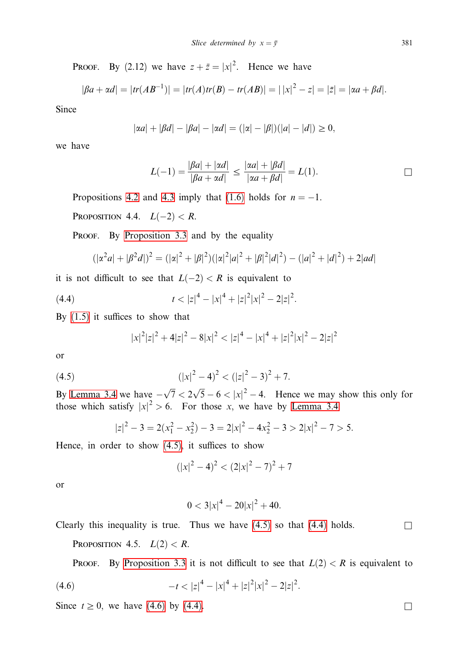PROOF. By (2.12) we have  $z + \bar{z} = |x|^2$ . Hence we have

$$
|\beta a + \alpha d| = |tr(AB^{-1})| = |tr(A)tr(B) - tr(AB)| = | |x|^2 - z| = |\bar{z}| = |\alpha a + \beta d|.
$$

Since

$$
|\alpha a| + |\beta d| - |\beta a| - |\alpha d| = (|\alpha| - |\beta|)(|a| - |d|) \ge 0
$$

we have

$$
L(-1) = \frac{|\beta a| + |\alpha d|}{|\beta a + \alpha d|} \le \frac{|\alpha a| + |\beta d|}{|\alpha a + \beta d|} = L(1).
$$

Propositions 4.2 and 4.3 imply that (1.6) holds for  $n = -1$ .

PROPOSITION 4.4.  $L(-2) < R$ .

PROOF. By Proposition 3.3 and by the equality

$$
(|\alpha^2 a| + |\beta^2 d|)^2 = (|\alpha|^2 + |\beta|^2)(|\alpha|^2 |a|^2 + |\beta|^2 |d|^2) - (|a|^2 + |d|^2) + 2|ad|
$$

it is not difficult to see that  $L(-2) < R$  is equivalent to

(4.4) 
$$
t < |z|^4 - |x|^4 + |z|^2 |x|^2 - 2|z|^2.
$$

By  $(1.5)$  it suffices to show that

$$
|x|^{2}|z|^{2} + 4|z|^{2} - 8|x|^{2} < |z|^{4} - |x|^{4} + |z|^{2}|x|^{2} - 2|z|^{2}
$$

or

(4.5) 
$$
(|x|^2 - 4)^2 < (|z|^2 - 3)^2 + 7.
$$

By Lemma 3.4 we have  $-\sqrt{7} < 2\sqrt{5} - 6 < |x|^2 - 4$ . Hence we may show this only for those which satisfy  $|x|^2 > 6$ . For those x, we have by Lemma 3.4

$$
|z|^2 - 3 = 2(x_1^2 - x_2^2) - 3 = 2|x|^2 - 4x_2^2 - 3 > 2|x|^2 - 7 > 5.
$$

Hence, in order to show  $(4.5)$ , it suffices to show

$$
(|x|^2 - 4)^2 < (2|x|^2 - 7)^2 + 7
$$

**or** 

$$
0 < 3|x|^4 - 20|x|^2 + 40.
$$

Clearly this inequality is true. Thus we have  $(4.5)$  so that  $(4.4)$  holds.

PROPOSITION 4.5.  $L(2) < R$ .

**PROOF.** By Proposition 3.3 it is not difficult to see that  $L(2) < R$  is equivalent to

(4.6) 
$$
-t < |z|^4 - |x|^4 + |z|^2 |x|^2 - 2|z|^2.
$$

Since  $t \ge 0$ , we have (4.6) by (4.4).

 $\Box$ 

 $\overline{\phantom{a}}$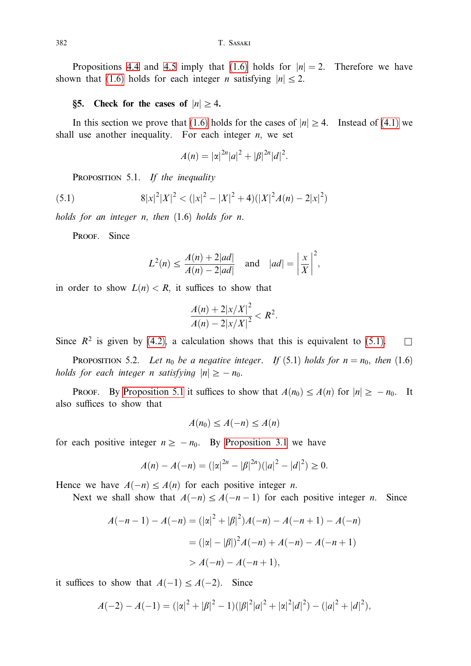Propositions 4.4 and 4.5 imply that (1.6) holds for  $|n|=2$ . Therefore we have shown that (1.6) holds for each integer *n* satisfying  $|n| \le 2$ .

## §5. Check for the cases of  $|n| \geq 4$ .

In this section we prove that (1.6) holds for the cases of  $|n| \ge 4$ . Instead of (4.1) we shall use another inequality. For each integer  $n$ , we set

$$
A(n) = |\alpha|^{2n} |a|^2 + |\beta|^{2n} |d|^2.
$$

PROPOSITION 5.1. If the inequality

(5.1) 
$$
8|x|^2|X|^2 < (|x|^2 - |X|^2 + 4)(|X|^2A(n) - 2|x|^2)
$$

holds for an integer n, then  $(1.6)$  holds for n.

PROOF. Since

$$
L^{2}(n) \le \frac{A(n)+2|ad|}{A(n)-2|ad|} \quad \text{and} \quad |ad| = \left|\frac{x}{X}\right|^{2},
$$

in order to show  $L(n) < R$ , it suffices to show that

$$
\frac{A(n)+2|x/X|^2}{A(n)-2|x/X|^2} < R^2.
$$

Since  $R^2$  is given by (4.2), a calculation shows that this is equivalent to (5.1).  $\Box$ 

**PROPOSITION** 5.2. Let  $n_0$  be a negative integer. If (5.1) holds for  $n = n_0$ , then (1.6) holds for each integer *n* satisfying  $|n| \ge -n_0$ .

**PROOF.** By Proposition 5.1 it suffices to show that  $A(n_0) \leq A(n)$  for  $|n| \geq -n_0$ . It also suffices to show that

$$
A(n_0) \le A(-n) \le A(n)
$$

for each positive integer  $n \ge -n_0$ . By Proposition 3.1 we have

$$
A(n) - A(-n) = (|\alpha|^{2n} - |\beta|^{2n})(|a|^2 - |d|^2) \ge 0.
$$

Hence we have  $A(-n) \leq A(n)$  for each positive integer *n*.

Next we shall show that  $A(-n) \leq A(-n-1)$  for each positive integer *n*. Since

$$
A(-n-1) - A(-n) = (|\alpha|^2 + |\beta|^2)A(-n) - A(-n+1) - A(-n)
$$
  
=  $(|\alpha| - |\beta|)^2 A(-n) + A(-n) - A(-n+1)$   
>  $A(-n) - A(-n+1)$ ,

it suffices to show that  $A(-1) \le A(-2)$ . Since

$$
A(-2) - A(-1) = (|\alpha|^2 + |\beta|^2 - 1)(|\beta|^2 |a|^2 + |\alpha|^2 |d|^2) - (|a|^2 + |d|^2),
$$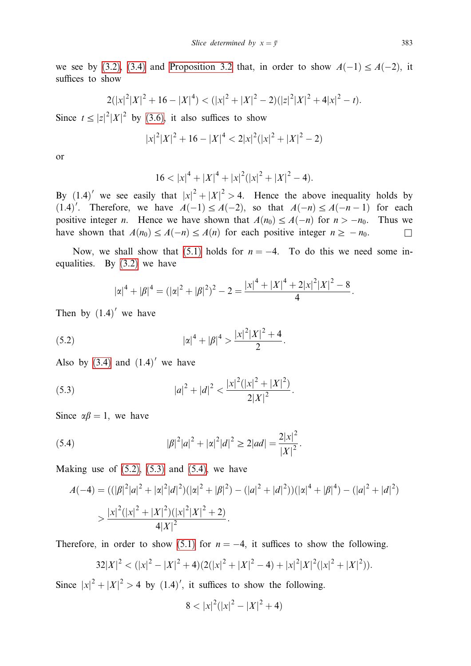we see by (3.2), (3.4) and Proposition 3.2 that, in order to show  $A(-1) \le A(-2)$ , it suffices to show

$$
2(|x|^2|X|^2+16-|X|^4) < (|x|^2+|X|^2-2)(|z|^2|X|^2+4|x|^2-t).
$$

Since  $t \leq |z|^2 |X|^2$  by (3.6), it also suffices to show

$$
|x|^2|X|^2 + 16 - |X|^4 < 2|x|^2(|x|^2 + |X|^2 - 2)
$$

**or** 

$$
16 < |x|^4 + |X|^4 + |x|^2(|x|^2 + |X|^2 - 4).
$$

By (1.4)' we see easily that  $|x|^2 + |X|^2 > 4$ . Hence the above inequality holds by  $(1.4)'$ . Therefore, we have  $A(-1) \le A(-2)$ , so that  $A(-n) \le A(-n-1)$  for each positive integer *n*. Hence we have shown that  $A(n_0) \le A(-n)$  for  $n > -n_0$ . Thus we have shown that  $A(n_0) \leq A(-n) \leq A(n)$  for each positive integer  $n \geq -n_0$ .  $\Box$ 

Now, we shall show that (5.1) holds for  $n = -4$ . To do this we need some inequalities. By  $(3.2)$  we have

$$
|\alpha|^4 + |\beta|^4 = (|\alpha|^2 + |\beta|^2)^2 - 2 = \frac{|x|^4 + |X|^4 + 2|x|^2|X|^2 - 8}{4}.
$$

Then by  $(1.4)'$  we have

(5.2) 
$$
|\alpha|^4 + |\beta|^4 > \frac{|x|^2 |X|^2 + 4}{2}
$$

Also by  $(3.4)$  and  $(1.4)'$  we have

(5.3) 
$$
|a|^2 + |d|^2 < \frac{|x|^2(|x|^2 + |X|^2)}{2|X|^2}
$$

Since  $\alpha\beta = 1$ , we have

(5.4) 
$$
|\beta|^2|a|^2 + |\alpha|^2|d|^2 \ge 2|ad| = \frac{2|x|^2}{|X|^2}.
$$

Making use of  $(5.2)$ ,  $(5.3)$  and  $(5.4)$ , we have

$$
A(-4) = ((|\beta|^2|a|^2 + |\alpha|^2|d|^2)(|\alpha|^2 + |\beta|^2) - (|a|^2 + |d|^2))(|\alpha|^4 + |\beta|^4) - (|a|^2 + |d|^2)
$$
  
> 
$$
\frac{|x|^2(|x|^2 + |X|^2)(|x|^2|X|^2 + 2)}{4|X|^2}.
$$

Therefore, in order to show (5.1) for  $n = -4$ , it suffices to show the following.

$$
32|X|^2 < (|x|^2 - |X|^2 + 4)(2(|x|^2 + |X|^2 - 4) + |x|^2|X|^2(|x|^2 + |X|^2)).
$$

Since  $|x|^2 + |X|^2 > 4$  by (1.4)', it suffices to show the following.

$$
8 < |x|^2(|x|^2 - |X|^2 + 4)
$$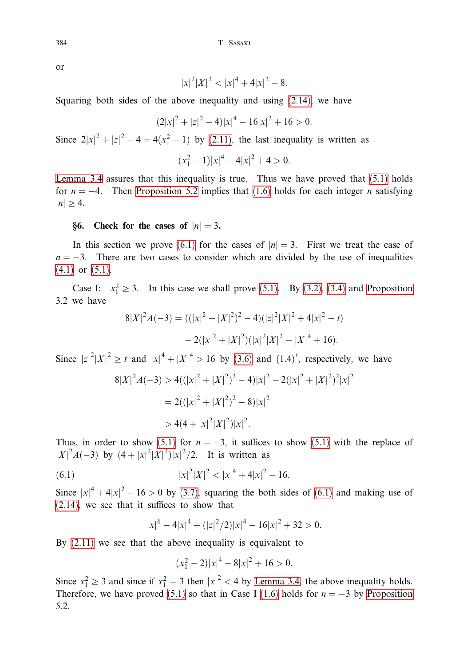T. SASAKI

or

$$
|x|^2|X|^2 < |x|^4 + 4|x|^2 - 8
$$

Squaring both sides of the above inequality and using  $(2.14)$ , we have

$$
(2|x|^2 + |z|^2 - 4)|x|^4 - 16|x|^2 + 16 > 0.
$$

Since  $2|x|^2 + |z|^2 - 4 = 4(x_1^2 - 1)$  by (2.11), the last inequality is written as

 $(x_1^2-1)|x|^4-4|x|^2+4>0.$ 

Lemma 3.4 assures that this inequality is true. Thus we have proved that  $(5.1)$  holds for  $n = -4$ . Then Proposition 5.2 implies that (1.6) holds for each integer *n* satisfying  $|n| \geq 4$ .

## §6. Check for the cases of  $|n|=3$ .

In this section we prove (6.1) for the cases of  $|n|=3$ . First we treat the case of  $n = -3$ . There are two cases to consider which are divided by the use of inequalities  $(4.1)$  or  $(5.1)$ .

Case I:  $x_1^2 \ge 3$ . In this case we shall prove (5.1). By (3.2), (3.4) and Proposition 3.2 we have

$$
8|X|^2A(-3) = ((|x|^2 + |X|^2)^2 - 4)(|z|^2|X|^2 + 4|x|^2 - t)
$$

$$
-2(|x|^2 + |X|^2)(|x|^2|X|^2 - |X|^4 + 16).
$$

Since  $|z|^2|X|^2 \ge t$  and  $|x|^4 + |X|^4 > 16$  by (3.6) and (1.4)', respectively, we have

$$
8|X|^2A(-3) > 4((|x|^2 + |X|^2)^2 - 4)|x|^2 - 2(|x|^2 + |X|^2)^2|x|^2
$$
  
= 2((|x|^2 + |X|^2)^2 - 8)|x|^2  
> 4(4 + |x|^2|X|^2)|x|^2.

Thus, in order to show (5.1) for  $n = -3$ , it suffices to show (5.1) with the replace of  $|X|^2A(-3)$  by  $(4+|x|^2|X|^2)|x|^2/2$ . It is written as

(6.1) 
$$
|x|^2|X|^2 < |x|^4 + 4|x|^2 - 16.
$$

Since  $|x|^4 + 4|x|^2 - 16 > 0$  by (3.7), squaring the both sides of (6.1) and making use of  $(2.14)$ , we see that it suffices to show that

$$
|x|^6 - 4|x|^4 + (|z|^2/2)|x|^4 - 16|x|^2 + 32 > 0.
$$

By  $(2.11)$  we see that the above inequality is equivalent to

$$
(x_1^2 - 2)|x|^4 - 8|x|^2 + 16 > 0.
$$

Since  $x_1^2 \ge 3$  and since if  $x_1^2 = 3$  then  $|x|^2 < 4$  by Lemma 3.4, the above inequality holds. Therefore, we have proved (5.1) so that in Case I (1.6) holds for  $n = -3$  by Proposition 5.2.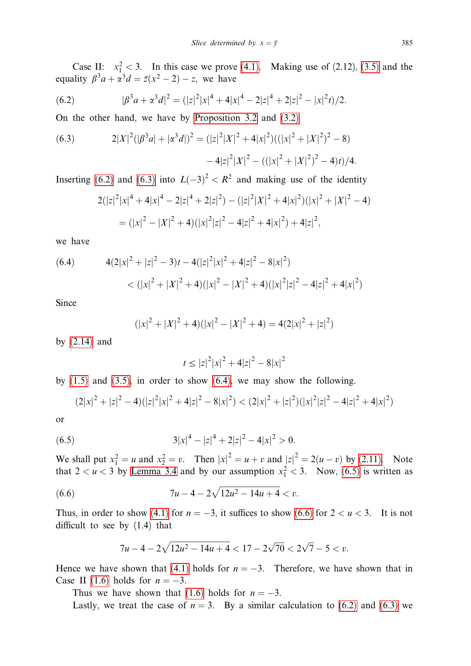Case II:  $x_1^2 < 3$ . In this case we prove (4.1). Making use of (2.12), (3.5) and the equality  $\beta^3 a + \alpha^3 d = \overline{z}(x^2 - 2) - z$ , we have

(6.2) 
$$
|\beta^3 a + \alpha^3 d|^2 = (|z|^2 |x|^4 + 4|x|^4 - 2|z|^4 + 2|z|^2 - |x|^2 t)/2.
$$

On the other hand, we have by Proposition 3.2 and (3.2)

(6.3) 
$$
2|X|^2(|\beta^3 a|+|\alpha^3 d|)^2=(|z|^2|X|^2+4|x|^2)((|x|^2+|X|^2)^2-8)-4|z|^2|X|^2-((|x|^2+|X|^2)^2-4)t)/4.
$$

Inserting (6.2) and (6.3) into  $L(-3)^2 < R^2$  and making use of the identity

$$
2(|z|^2|x|^4 + 4|x|^4 - 2|z|^4 + 2|z|^2) - (|z|^2|X|^2 + 4|x|^2)(|x|^2 + |X|^2 - 4)
$$
  
= 
$$
(|x|^2 - |X|^2 + 4)(|x|^2|z|^2 - 4|z|^2 + 4|x|^2) + 4|z|^2,
$$

we have

(6.4) 
$$
4(2|x|^2 + |z|^2 - 3)t - 4(|z|^2|x|^2 + 4|z|^2 - 8|x|^2)
$$

$$
< (|x|^2 + |X|^2 + 4)(|x|^2 - |X|^2 + 4)(|x|^2|z|^2 - 4|z|^2 + 4|x|^2)
$$

Since

$$
(|x|^{2} + |X|^{2} + 4)(|x|^{2} - |X|^{2} + 4) = 4(2|x|^{2} + |z|^{2})
$$

by  $(2.14)$  and

$$
t \le |z|^2 |x|^2 + 4|z|^2 - 8|x|^2
$$

by  $(1.5)$  and  $(3.5)$ , in order to show  $(6.4)$ , we may show the following.

$$
(2|x|^2+|z|^2-4)(|z|^2|x|^2+4|z|^2-8|x|^2) < (2|x|^2+|z|^2)(|x|^2|z|^2-4|z|^2+4|x|^2)
$$

<sub>or</sub>

(6.5) 
$$
3|x|^4 - |z|^4 + 2|z|^2 - 4|x|^2 > 0.
$$

We shall put  $x_1^2 = u$  and  $x_2^2 = v$ . Then  $|x|^2 = u + v$  and  $|z|^2 = 2(u - v)$  by (2.11). Note that  $2 < u < 3$  by Lemma 3.4 and by our assumption  $x_1^2 < 3$ . Now, (6.5) is written as

(6.6) 
$$
7u-4-2\sqrt{12u^2-14u+4} < v.
$$

Thus, in order to show (4.1) for  $n = -3$ , it suffices to show (6.6) for  $2 < u < 3$ . It is not difficult to see by  $(1.4)$  that

$$
7u - 4 - 2\sqrt{12u^2 - 14u + 4} < 17 - 2\sqrt{70} < 2\sqrt{7} - 5 < v
$$

Hence we have shown that (4.1) holds for  $n = -3$ . Therefore, we have shown that in Case II (1.6) holds for  $n = -3$ .

Thus we have shown that (1.6) holds for  $n = -3$ .

Lastly, we treat the case of  $n = 3$ . By a similar calculation to (6.2) and (6.3) we